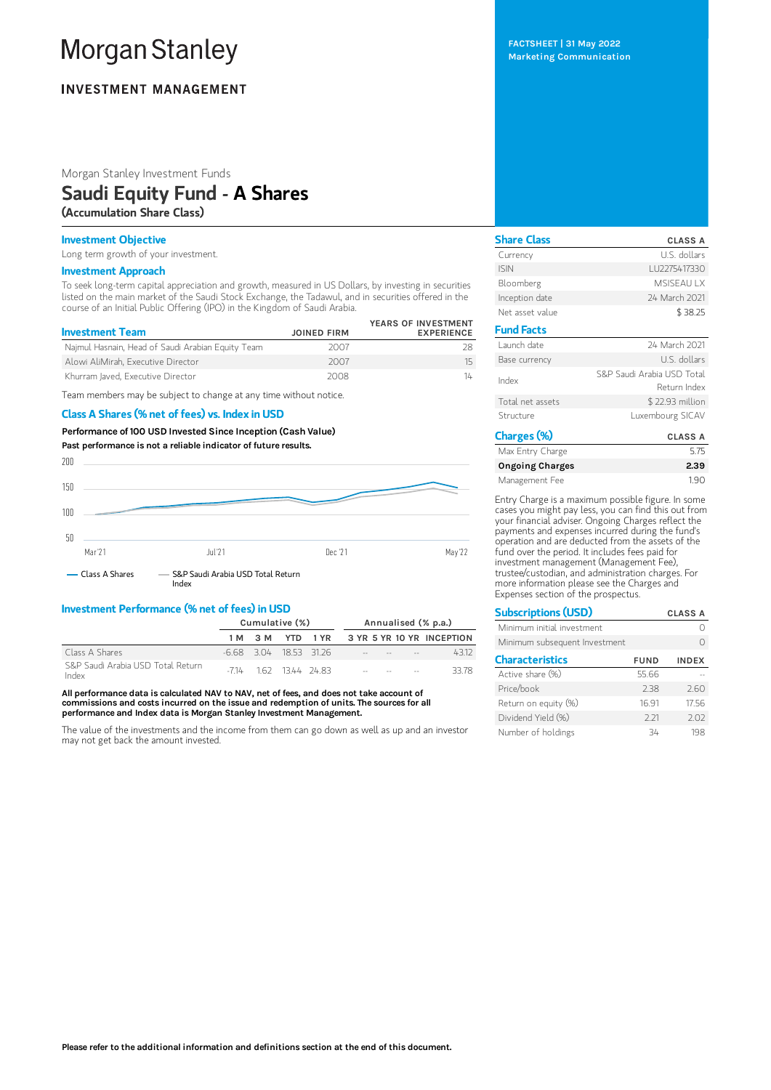# **Morgan Stanley**

# **INVESTMENT MANAGEMENT**

Morgan Stanley Investment Funds

# Saudi Equity Fund - A Shares

(Accumulation Share Class)

### Investment Objective

Long term growth of your investment.

# Investment Approach

To seek long-term capital appreciation and growth, measured in US Dollars, by investing in securities listed on the main market of the Saudi Stock Exchange, the Tadawul, and in securities offered in the course of an Initial Public Offering (IPO) in the Kingdom of Saudi Arabia.

| <b>Investment Team</b>                            | <b>JOINED FIRM</b> | YEARS OF INVESTMENT<br><b>EXPERIENCE</b> |
|---------------------------------------------------|--------------------|------------------------------------------|
| Najmul Hasnain, Head of Saudi Arabian Equity Team | 2007               |                                          |
| Alowi AliMirah, Executive Director                | 2007               | 15                                       |
| Khurram laved. Executive Director                 | 2008               | 14                                       |

Team members may be subject to change at any time without notice.

#### Class A Shares (% net of fees) vs. Index in USD

Performance of100 USD Invested Since Inception (Cash Value) Past performance is not a reliable indicator of future results.



# Investment Performance (% net of fees) in USD

|                                            | Cumulative (%) |  |  | Annualised (% p.a.)    |  |  |                                       |                                      |
|--------------------------------------------|----------------|--|--|------------------------|--|--|---------------------------------------|--------------------------------------|
|                                            |                |  |  |                        |  |  |                                       | 1M 3M YTD 1YR 3YR 5YR 10YR INCEPTION |
| Class A Shares                             |                |  |  | -6.68 3.04 18.53 31.26 |  |  | and the company of the company of the | 4312                                 |
| S&P Saudi Arabia USD Total Return<br>Index |                |  |  | $-714$ 162 1344 2483   |  |  | the contract of the contract of       | 33.78                                |

All performance data is calculated NAV to NAV, net of fees, and does not take account of commissions and costs incurred on the issue and redemption of units. The sources for all performance and Index data is Morgan Stanley Investment Management.

The value of the investments and the income from them can go down as well as up and an investor may not get back the amount invested.

FACTSHEET | 31 May 2022 Marketing Communication

| <b>Share Class</b> | <b>CLASS A</b>                             |
|--------------------|--------------------------------------------|
| Currency           | U.S. dollars                               |
| <b>ISIN</b>        | LU2275417330                               |
| Bloomberg          | <b>MSISFAULX</b>                           |
| Inception date     | 24 March 2021                              |
| Net asset value    | \$38.25                                    |
| <b>Fund Facts</b>  |                                            |
| Launch date        | 24 March 2021                              |
| Base currency      | U.S. dollars                               |
| Index              | S&P Saudi Arabia USD Total<br>Return Index |
| Total net assets   | \$22.93 million                            |
| Structure          | Luxembourg SICAV                           |
| Charges (%)        | <b>CLASS A</b>                             |

| Max Entry Charge       | 5.75 |
|------------------------|------|
| <b>Ongoing Charges</b> | 2.39 |
| Management Fee         | 190  |

Entry Charge is a maximum possible figure. In some cases you might pay less, you can find this out from your financial adviser. Ongoing Charges reflect the payments and expenses incurred during the fund's operation and are deducted from the assets of the fund over the period. It includes fees paid for investment management (Management Fee), trustee/custodian, and administration charges. For more information please see the Charges and Expenses section of the prospectus.

| <b>Subscriptions (USD)</b>    |             | <b>CLASS A</b> |
|-------------------------------|-------------|----------------|
| Minimum initial investment    |             |                |
| Minimum subsequent Investment |             | ∩              |
| <b>Characteristics</b>        | <b>FUND</b> | <b>INDEX</b>   |
| Active share (%)              | 55.66       |                |
| Price/book                    | 238         | 2.60           |
| Return on equity (%)          | 16.91       | 17.56          |
| Dividend Yield (%)            | 2.21        | 2.02           |
| Number of holdings            | 34          | 198            |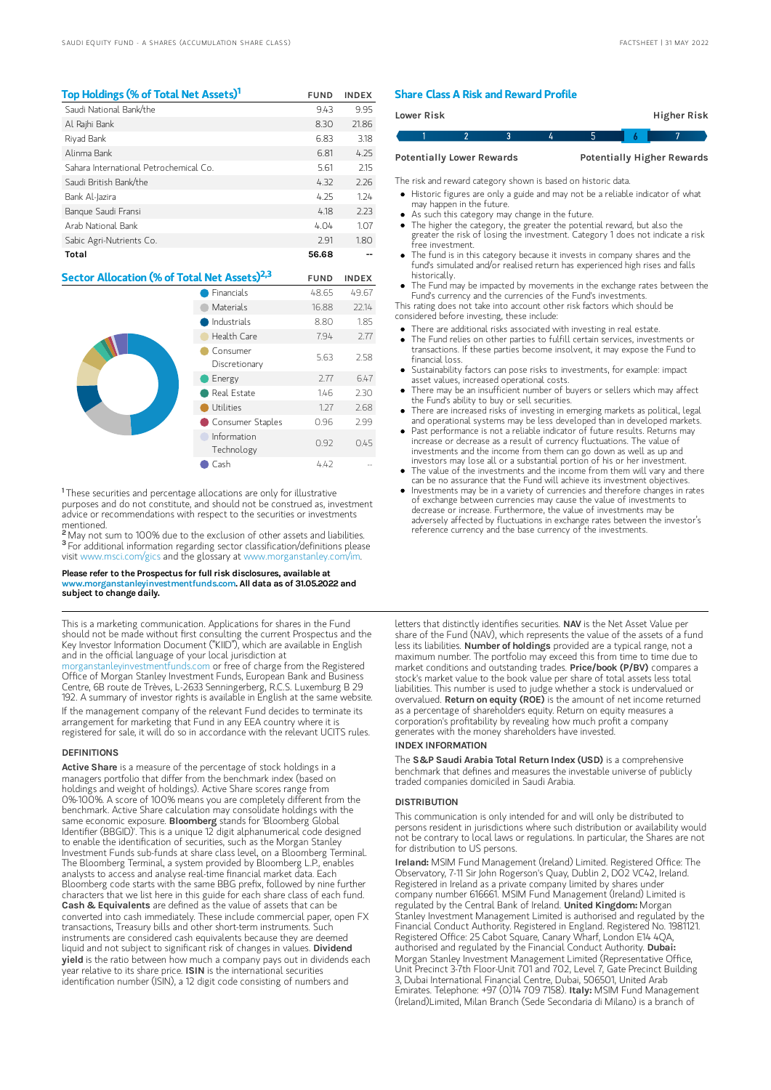| Top Holdings (% of Total Net Assets) <sup>1</sup> | <b>FUND</b> | <b>INDEX</b> |
|---------------------------------------------------|-------------|--------------|
| Saudi National Bank/the                           | 9.43        | 9.95         |
| Al Rajhi Bank                                     | 8.30        | 21.86        |
| Riyad Bank                                        | 6.83        | 3.18         |
| Alinma Bank                                       | 6.81        | 4.25         |
| Sahara International Petrochemical Co.            | 5.61        | 2.15         |
| Saudi British Bank/the                            | 4.32        | 2.26         |
| Bank Al-Jazira                                    | 4.25        | 1.24         |
| Bangue Saudi Fransi                               | 4.18        | 2.23         |
| Arab National Bank                                | 4.04        | 1.07         |
| Sabic Agri-Nutrients Co.                          | 2.91        | 1.80         |
| Total                                             | 56.68       |              |

# Sector Allocation (% of Total Net Assets)<sup>2,3</sup> FUND INDEX

|  | Financials                | 48.65 | 49.67 |
|--|---------------------------|-------|-------|
|  | <b>Materials</b>          | 16.88 | 22.14 |
|  | Industrials               | 8.80  | 1.85  |
|  | Health Care               | 7.94  | 2.77  |
|  | Consumer<br>Discretionary | 5.63  | 2.58  |
|  | Energy                    | 2.77  | 6.47  |
|  | Real Estate               | 1.46  | 2.30  |
|  | Utilities                 | 1.27  | 2.68  |
|  | Consumer Staples          | 0.96  | 2.99  |
|  | Information<br>Technology | 0.92  | 0.45  |
|  | Cash                      | 4.42  |       |

<sup>1</sup>These securities and percentage allocations are only for illustrative purposes and do not constitute, and should not be construed as, investment advice or recommendations with respect to the securities or investments mentioned.<br><sup>2</sup> May not s

May not sum to 100% due to the exclusion of other assets and liabilities. <sup>3</sup> For additional information regarding sector classification/definitions please visit www.msci.com/gics and the glossary at www.morganstanley.com/im.

#### Please refer to the Prospectus for full risk disclosures, available at www.morganstanleyinvestmentfunds.com. All data as of 31.05.2022 and subject to change daily.

This is a marketing communication. Applications for shares in the Fund should not be made without first consulting the current Prospectus and the Key Investor Information Document ("KIID"), which are available in English and in the official language of your local jurisdiction at [morganstanleyinvestmentfunds.com](https://www.morganstanley.com/im/msinvf/index.html) or free of charge from the Registered Office of Morgan Stanley Investment Funds, European Bank and Business Centre, 6B route de Trèves, L-2633 Senningerberg, R.C.S. Luxemburg B 29 192. A summary of investor rights is available in English at the same website. If the management company of the relevant Fund decides to terminate its arrangement for marketing that Fund in any EEA country where it is registered for sale, it will do so in accordance with the relevant UCITS rules.

#### **DEFINITIONS**

Active Share is a measure of the percentage of stock holdings in a managers portfolio that differ from the benchmark index (based on holdings and weight of holdings). Active Share scores range from 0%-100%. A score of 100% means you are completely different from the benchmark. Active Share calculation may consolidate holdings with the same economic exposure. Bloomberg stands for 'Bloomberg Global Identifier (BBGID)'. This is a unique 12 digit alphanumerical code designed to enable the identification of securities, such as the Morgan Stanley Investment Funds sub-funds at share class level, on a Bloomberg Terminal. The Bloomberg Terminal, a system provided by Bloomberg L.P., enables analysts to access and analyse real-time financial market data. Each Bloomberg code starts with the same BBG prefix, followed by nine further characters that we list here in this guide for each share class of each fund.<br>**Cash & Equivalents** are defined as the value of assets that can be converted into cash immediately. These include commercial paper, open FX transactions, Treasury bills and other short-term instruments. Such instruments are considered cash equivalents because they are deemed liquid and not subject to significant risk of changes in values. Dividend yield is the ratio between how much a company pays out in dividends each year relative to its share price. ISIN is the international securities identification number (ISIN), a 12 digit code consisting of numbers and

#### Share Class A Risk and Reward Profile

| Lower Risk                       |  |  |  |                                   |  | Higher Risk |  |
|----------------------------------|--|--|--|-----------------------------------|--|-------------|--|
|                                  |  |  |  |                                   |  |             |  |
| <b>Potentially Lower Rewards</b> |  |  |  | <b>Potentially Higher Rewards</b> |  |             |  |

The risk and reward category shown is based on historic data.

- Historic figures are only a guide and may not be a reliable indicator of what may happen in the future.
- As such this category may change in the future.
- The higher the category, the greater the potential reward, but also the greater the risk of losing the investment. Category 1 does not indicate a risk free investment.
- The fund is in this category because it invests in company shares and the fund's simulated and/or realised return has experienced high rises and falls historically.
- The Fund may be impacted by movements in the exchange rates between the Fund's currency and the currencies of the Fund's investments.

This rating does not take into account other risk factors which should be considered before investing, these include:

- There are additional risks associated with investing in real estate.
- The Fund relies on other parties to fulfill certain services, investments or transactions. If these parties become insolvent, it may expose the Fund to financial loss.
- Sustainability factors can pose risks to investments, for example: impact asset values, increased operational costs.
- There may be an insufficient number of buyers or sellers which may affect the Fund's ability to buy or sell securities.
- There are increased risks of investing in emerging markets as political, legal and operational systems may be less developed than in developed markets.
- Past performance is not a reliable indicator of future results. Returns may increase or decrease as a result of currency fluctuations. The value of investments and the income from them can go down as well as up and investors may lose all or a substantial portion of his or her investment.
- The value of the investments and the income from them will vary and there can be no assurance that the Fund will achieve its investment objectives.
- Investments may be in a variety of currencies and therefore changes in rates of exchange between currencies may cause the value of investments to decrease or increase. Furthermore, the value of investments may be adversely affected by fluctuations in exchange rates between the investor's reference currency and the base currency of the investments.

letters that distinctly identifies securities. NAV is the Net Asset Value per share of the Fund (NAV), which represents the value of the assets of a fund less its liabilities. Number of holdings provided are a typical range, not a maximum number. The portfolio may exceed this from time to time due to market conditions and outstanding trades. Price/book (P/BV) compares a stock's market value to the book value per share of total assets less total liabilities. This number is used to judge whether a stock is undervalued or overvalued. Return on equity (ROE) is the amount of net income returned as a percentage of shareholders equity. Return on equity measures a corporation's profitability by revealing how much profit a company generates with the money shareholders have invested.

#### INDEX INFORMATION

The S&P Saudi Arabia Total Return Index (USD) is a comprehensive benchmark that defines and measures the investable universe of publicly traded companies domiciled in Saudi Arabia.

#### **DISTRIBUTION**

This communication is only intended for and will only be distributed to persons resident in jurisdictions where such distribution or availability would not be contrary to local laws or regulations. In particular, the Shares are not for distribution to US persons.

Ireland: MSIM Fund Management (Ireland) Limited. Registered Office: The Observatory, 7-11 Sir John Rogerson's Quay, Dublin 2, D02 VC42, Ireland. Registered in Ireland as a private company limited by shares under company number 616661. MSIM Fund Management (Ireland) Limited is regulated by the Central Bank of Ireland. United Kingdom: Morgan Stanley Investment Management Limited is authorised and regulated by the Financial Conduct Authority. Registered in England. Registered No. 1981121. Registered Office: 25 Cabot Square, Canary Wharf, London E14 4QA, authorised and regulated by the Financial Conduct Authority. Dubai: Morgan Stanley Investment Management Limited (Representative Office, Unit Precinct 3-7th Floor-Unit 701 and 702, Level 7, Gate Precinct Building 3, Dubai International Financial Centre, Dubai, 506501, United Arab Emirates. Telephone: +97 (0)14 709 7158). Italy: MSIM Fund Management (Ireland)Limited, Milan Branch (Sede Secondaria di Milano) is a branch of